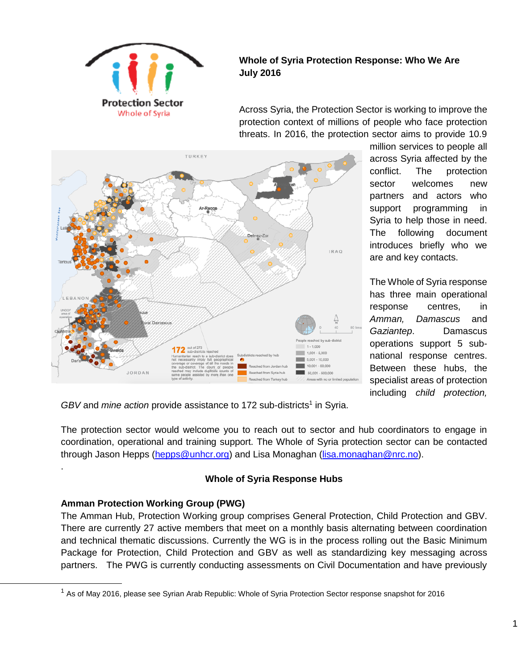

# **Whole of Syria Protection Response: Who We Are July 2016**

Across Syria, the Protection Sector is working to improve the protection context of millions of people who face protection threats. In 2016, the protection sector aims to provide 10.9



million services to people all across Syria affected by the conflict. The protection sector welcomes new partners and actors who support programming in Syria to help those in need. The following document introduces briefly who we are and key contacts.

The Whole of Syria response has three main operational response centres, in *Amman, Damascus* and *Gaziantep*. Damascus operations support 5 subnational response centres. Between these hubs, the specialist areas of protection including *child protection,* 

GBV and *mine action* provide assistance to 172 sub-districts<sup>1</sup> in Syria.

The protection sector would welcome you to reach out to sector and hub coordinators to engage in coordination, operational and training support. The Whole of Syria protection sector can be contacted through Jason Hepps [\(hepps@unhcr.org\)](mailto:hepps@unhcr.org) and Lisa Monaghan [\(lisa.monaghan@nrc.no\)](mailto:lisa.monaghan@nrc.no).

# **Whole of Syria Response Hubs**

# **Amman Protection Working Group (PWG)**

.

The Amman Hub, Protection Working group comprises General Protection, Child Protection and GBV. There are currently 27 active members that meet on a monthly basis alternating between coordination and technical thematic discussions. Currently the WG is in the process rolling out the Basic Minimum Package for Protection, Child Protection and GBV as well as standardizing key messaging across partners. The PWG is currently conducting assessments on Civil Documentation and have previously

<sup>1</sup> As of May 2016, please see Syrian Arab Republic: Whole of Syria Protection Sector response snapshot for 2016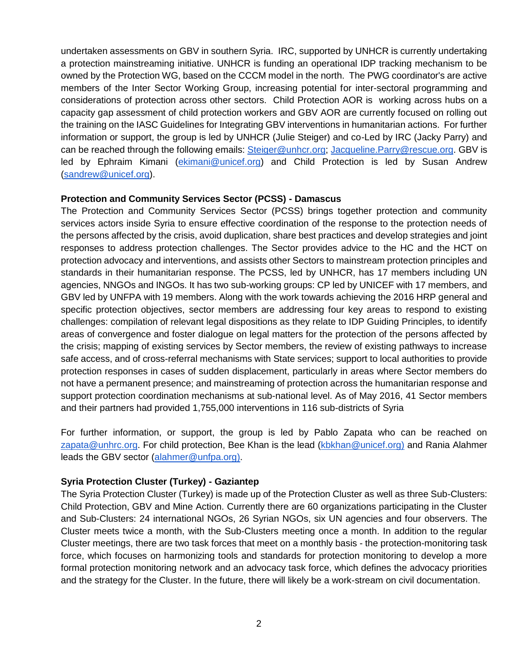undertaken assessments on GBV in southern Syria. IRC, supported by UNHCR is currently undertaking a protection mainstreaming initiative. UNHCR is funding an operational IDP tracking mechanism to be owned by the Protection WG, based on the CCCM model in the north. The PWG coordinator's are active members of the Inter Sector Working Group, increasing potential for inter-sectoral programming and considerations of protection across other sectors. Child Protection AOR is working across hubs on a capacity gap assessment of child protection workers and GBV AOR are currently focused on rolling out the training on the IASC Guidelines for Integrating GBV interventions in humanitarian actions. For further information or support, the group is led by UNHCR (Julie Steiger) and co-Led by IRC (Jacky Parry) and can be reached through the following emails: [Steiger@unhcr.org;](https://mail.nrc.no/owa/redir.aspx?C=_OLIfIPtEeTargRWX5suQ5xybuC6fLoJF3BbePoaJa-eyFxicZ7TCA..&URL=mailto%3aSteiger%40unhcr.org) [Jacqueline.Parry@rescue.org.](mailto:Jacqueline.Parry@rescue.org) GBV is led by Ephraim Kimani [\(ekimani@unicef.org\)](mailto:ekimani@unicef.org) and Child Protection is led by Susan Andrew [\(sandrew@unicef.org\)](mailto:sandrew@unicef.org).

### **Protection and Community Services Sector (PCSS) - Damascus**

The Protection and Community Services Sector (PCSS) brings together protection and community services actors inside Syria to ensure effective coordination of the response to the protection needs of the persons affected by the crisis, avoid duplication, share best practices and develop strategies and joint responses to address protection challenges. The Sector provides advice to the HC and the HCT on protection advocacy and interventions, and assists other Sectors to mainstream protection principles and standards in their humanitarian response. The PCSS, led by UNHCR, has 17 members including UN agencies, NNGOs and INGOs. It has two sub-working groups: CP led by UNICEF with 17 members, and GBV led by UNFPA with 19 members. Along with the work towards achieving the 2016 HRP general and specific protection objectives, sector members are addressing four key areas to respond to existing challenges: compilation of relevant legal dispositions as they relate to IDP Guiding Principles, to identify areas of convergence and foster dialogue on legal matters for the protection of the persons affected by the crisis; mapping of existing services by Sector members, the review of existing pathways to increase safe access, and of cross-referral mechanisms with State services; support to local authorities to provide protection responses in cases of sudden displacement, particularly in areas where Sector members do not have a permanent presence; and mainstreaming of protection across the humanitarian response and support protection coordination mechanisms at sub-national level. As of May 2016, 41 Sector members and their partners had provided 1,755,000 interventions in 116 sub-districts of Syria

For further information, or support, the group is led by Pablo Zapata who can be reached on [zapata@unhrc.org.](mailto:zapata@unhrc.org) For child protection, Bee Khan is the lead [\(kbkhan@unicef.org\)](mailto:kbkhan@unicef.org) and Rania Alahmer leads the GBV sector [\(alahmer@unfpa.org\)](mailto:alahmer@unfpa.org).

## **Syria Protection Cluster (Turkey) - Gaziantep**

The Syria Protection Cluster (Turkey) is made up of the Protection Cluster as well as three Sub-Clusters: Child Protection, GBV and Mine Action. Currently there are 60 organizations participating in the Cluster and Sub-Clusters: 24 international NGOs, 26 Syrian NGOs, six UN agencies and four observers. The Cluster meets twice a month, with the Sub-Clusters meeting once a month. In addition to the regular Cluster meetings, there are two task forces that meet on a monthly basis - the protection-monitoring task force, which focuses on harmonizing tools and standards for protection monitoring to develop a more formal protection monitoring network and an advocacy task force, which defines the advocacy priorities and the strategy for the Cluster. In the future, there will likely be a work-stream on civil documentation.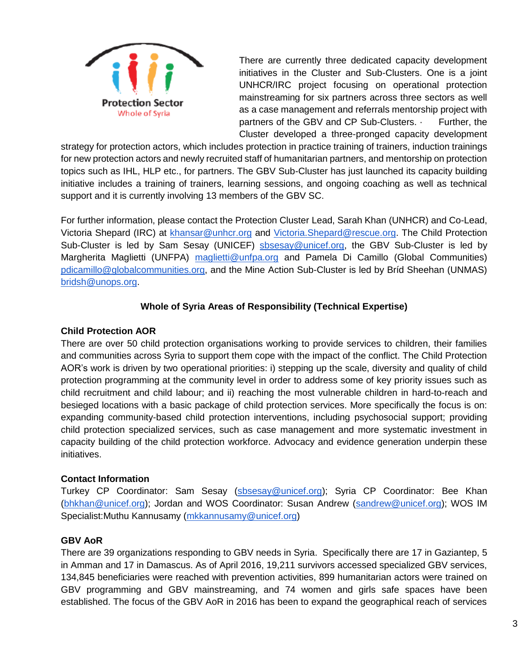

There are currently three dedicated capacity development initiatives in the Cluster and Sub-Clusters. One is a joint UNHCR/IRC project focusing on operational protection mainstreaming for six partners across three sectors as well as a case management and referrals mentorship project with partners of the GBV and CP Sub-Clusters. · Further, the Cluster developed a three-pronged capacity development

strategy for protection actors, which includes protection in practice training of trainers, induction trainings for new protection actors and newly recruited staff of humanitarian partners, and mentorship on protection topics such as IHL, HLP etc., for partners. The GBV Sub-Cluster has just launched its capacity building initiative includes a training of trainers, learning sessions, and ongoing coaching as well as technical support and it is currently involving 13 members of the GBV SC.

For further information, please contact the Protection Cluster Lead, Sarah Khan (UNHCR) and Co-Lead, Victoria Shepard (IRC) at [khansar@unhcr.org](mailto:khansar@unhcr.org) and [Victoria.Shepard@rescue.org.](mailto:Victoria.Shepard@rescue.org) The Child Protection Sub-Cluster is led by Sam Sesay (UNICEF) [sbsesay@unicef.org,](mailto:sbsesay@unicef.org) the GBV Sub-Cluster is led by Margherita Maglietti (UNFPA) [maglietti@unfpa.org](mailto:maglietti@unfpa.org) and Pamela Di Camillo (Global Communities) [pdicamillo@globalcommunities.org,](mailto:pdicamillo@globalcommunities.org) and the Mine Action Sub-Cluster is led by Bríd Sheehan (UNMAS) [bridsh@unops.org.](mailto:bridsh@unops.org)

# **Whole of Syria Areas of Responsibility (Technical Expertise)**

## **Child Protection AOR**

There are over 50 child protection organisations working to provide services to children, their families and communities across Syria to support them cope with the impact of the conflict. The Child Protection AOR's work is driven by two operational priorities: i) stepping up the scale, diversity and quality of child protection programming at the community level in order to address some of key priority issues such as child recruitment and child labour; and ii) reaching the most vulnerable children in hard-to-reach and besieged locations with a basic package of child protection services. More specifically the focus is on: expanding community-based child protection interventions, including psychosocial support; providing child protection specialized services, such as case management and more systematic investment in capacity building of the child protection workforce. Advocacy and evidence generation underpin these initiatives.

## **Contact Information**

Turkey CP Coordinator: Sam Sesay [\(sbsesay@unicef.org\)](mailto:sbsesay@unicef.org); Syria CP Coordinator: Bee Khan [\(bhkhan@unicef.org\)](mailto:bhkhan@unicef.org); Jordan and WOS Coordinator: Susan Andrew [\(sandrew@unicef.org\)](mailto:sandrew@unicef.org); WOS IM Specialist:Muthu Kannusamy [\(mkkannusamy@unicef.org\)](mailto:mkkannusamy@unicef.org)

## **GBV AoR**

There are 39 organizations responding to GBV needs in Syria. Specifically there are 17 in Gaziantep, 5 in Amman and 17 in Damascus. As of April 2016, 19,211 survivors accessed specialized GBV services, 134,845 beneficiaries were reached with prevention activities, 899 humanitarian actors were trained on GBV programming and GBV mainstreaming, and 74 women and girls safe spaces have been established. The focus of the GBV AoR in 2016 has been to expand the geographical reach of services